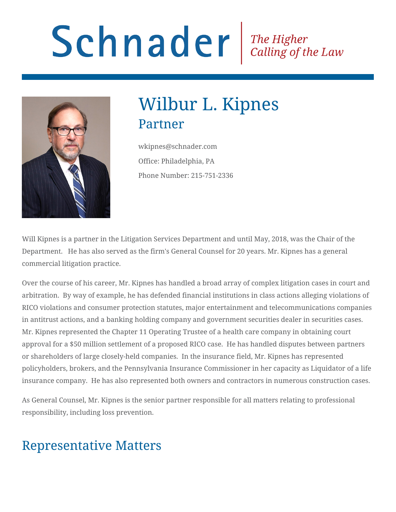# Schnader Fine Higher Calling of the Law



# Wilbur L. Kipnes Partner

wkipnes@schnader.com Office: Philadelphia, PA Phone Number: 215-751-2336

Will Kipnes is a partner in the Litigation Services Department and until May, 2018, was the Chair of the Department. He has also served as the firm's General Counsel for 20 years. Mr. Kipnes has a general commercial litigation practice.

Over the course of his career, Mr. Kipnes has handled a broad array of complex litigation cases in court and arbitration. By way of example, he has defended financial institutions in class actions alleging violations of RICO violations and consumer protection statutes, major entertainment and telecommunications companies in antitrust actions, and a banking holding company and government securities dealer in securities cases. Mr. Kipnes represented the Chapter 11 Operating Trustee of a health care company in obtaining court approval for a \$50 million settlement of a proposed RICO case. He has handled disputes between partners or shareholders of large closely-held companies. In the insurance field, Mr. Kipnes has represented policyholders, brokers, and the Pennsylvania Insurance Commissioner in her capacity as Liquidator of a life insurance company. He has also represented both owners and contractors in numerous construction cases.

As General Counsel, Mr. Kipnes is the senior partner responsible for all matters relating to professional responsibility, including loss prevention.

# Representative Matters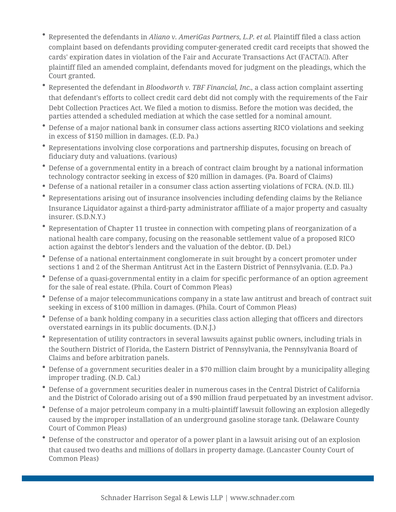- Represented the defendants in *Aliano v. AmeriGas Partners, L.P. et al.* Plaintiff filed a class action complaint based on defendants providing computer-generated credit card receipts that showed the cards' expiration dates in violation of the Fair and Accurate Transactions Act (FACTA). After plaintiff filed an amended complaint, defendants moved for judgment on the pleadings, which the Court granted.
- Represented the defendant in *Bloodworth v. TBF Financial, Inc.,* a class action complaint asserting that defendant's efforts to collect credit card debt did not comply with the requirements of the Fair Debt Collection Practices Act. We filed a motion to dismiss. Before the motion was decided, the parties attended a scheduled mediation at which the case settled for a nominal amount.
- Defense of a major national bank in consumer class actions asserting RICO violations and seeking in excess of \$150 million in damages. (E.D. Pa.)
- Representations involving close corporations and partnership disputes, focusing on breach of fiduciary duty and valuations. (various)
- Defense of a governmental entity in a breach of contract claim brought by a national information technology contractor seeking in excess of \$20 million in damages. (Pa. Board of Claims)
- Defense of a national retailer in a consumer class action asserting violations of FCRA. (N.D. Ill.)
- Representations arising out of insurance insolvencies including defending claims by the Reliance Insurance Liquidator against a third-party administrator affiliate of a major property and casualty insurer. (S.D.N.Y.)
- Representation of Chapter 11 trustee in connection with competing plans of reorganization of a national health care company, focusing on the reasonable settlement value of a proposed RICO action against the debtor's lenders and the valuation of the debtor. (D. Del.)
- Defense of a national entertainment conglomerate in suit brought by a concert promoter under sections 1 and 2 of the Sherman Antitrust Act in the Eastern District of Pennsylvania. (E.D. Pa.)
- Defense of a quasi-governmental entity in a claim for specific performance of an option agreement for the sale of real estate. (Phila. Court of Common Pleas)
- Defense of a major telecommunications company in a state law antitrust and breach of contract suit seeking in excess of \$100 million in damages. (Phila. Court of Common Pleas)
- Defense of a bank holding company in a securities class action alleging that officers and directors overstated earnings in its public documents. (D.N.J.)
- Representation of utility contractors in several lawsuits against public owners, including trials in the Southern District of Florida, the Eastern District of Pennsylvania, the Pennsylvania Board of Claims and before arbitration panels.
- Defense of a government securities dealer in a \$70 million claim brought by a municipality alleging improper trading. (N.D. Cal.)
- Defense of a government securities dealer in numerous cases in the Central District of California and the District of Colorado arising out of a \$90 million fraud perpetuated by an investment advisor.
- Defense of a major petroleum company in a multi-plaintiff lawsuit following an explosion allegedly caused by the improper installation of an underground gasoline storage tank. (Delaware County Court of Common Pleas)
- Defense of the constructor and operator of a power plant in a lawsuit arising out of an explosion that caused two deaths and millions of dollars in property damage. (Lancaster County Court of Common Pleas)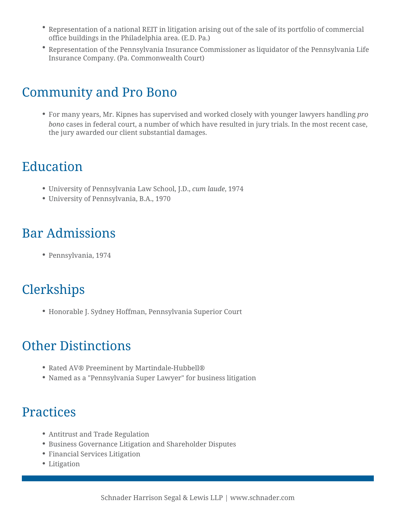- Representation of a national REIT in litigation arising out of the sale of its portfolio of commercial office buildings in the Philadelphia area. (E.D. Pa.)
- Representation of the Pennsylvania Insurance Commissioner as liquidator of the Pennsylvania Life Insurance Company. (Pa. Commonwealth Court)

#### Community and Pro Bono

For many years, Mr. Kipnes has supervised and worked closely with younger lawyers handling *pro bono* cases in federal court, a number of which have resulted in jury trials. In the most recent case, the jury awarded our client substantial damages.

## Education

- University of Pennsylvania Law School, J.D., *cum laude*, 1974
- University of Pennsylvania, B.A., 1970

#### Bar Admissions

Pennsylvania, 1974

### **Clerkships**

Honorable J. Sydney Hoffman, Pennsylvania Superior Court

#### Other Distinctions

- Rated AV® Preeminent by Martindale-Hubbell®
- Named as a "Pennsylvania Super Lawyer" for business litigation

#### Practices

- Antitrust and Trade Regulation
- Business Governance Litigation and Shareholder Disputes
- Financial Services Litigation
- Litigation